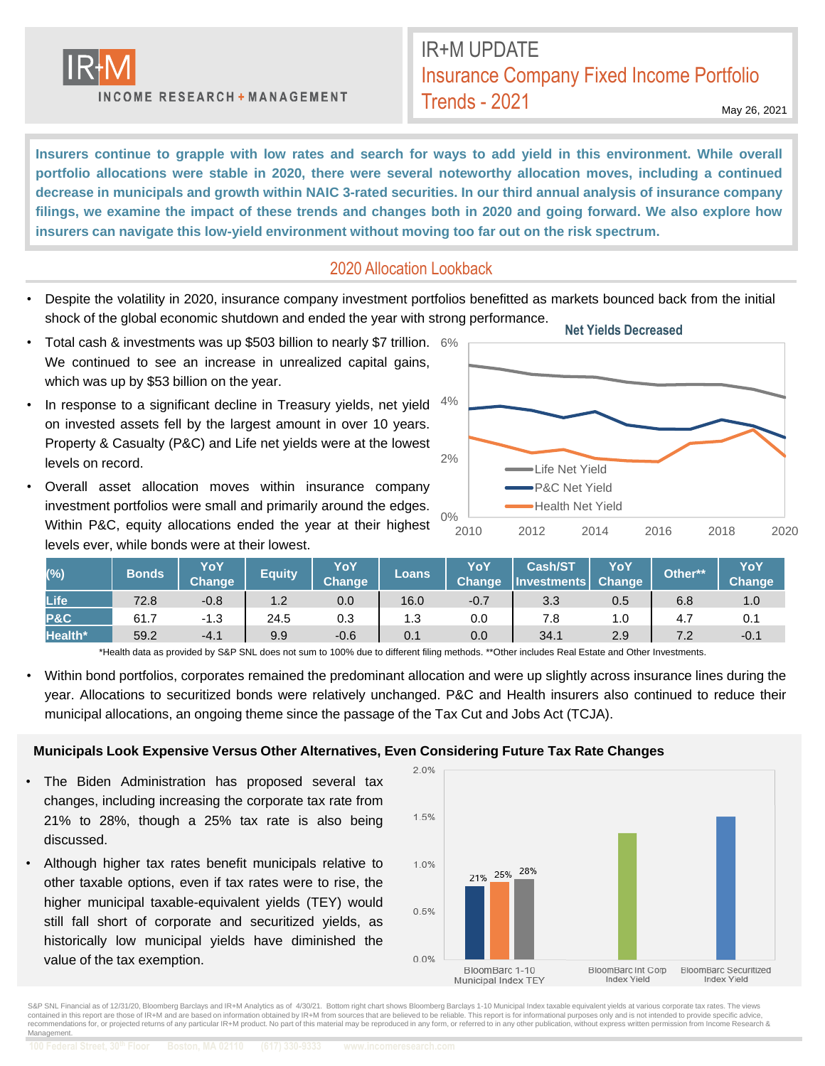

INCOME RESEARCH + MANAGEMENT

## IR+M UPDATE Insurance Company Fixed Income Portfolio Trends - 2021

May 26, 2021

Insurers continue to grapple with low rates and search for ways to add yield in this environment. While overall **portfolio allocations were stable in 2020, there were several noteworthy allocation moves, including a continued** decrease in municipals and growth within NAIC 3-rated securities. In our third annual analysis of insurance company filings, we examine the impact of these trends and changes both in 2020 and going forward. We also explore how **insurers can navigate this low-yield environment without moving too far out on the risk spectrum.**

## 2020 Allocation Lookback

- Despite the volatility in 2020, insurance company investment portfolios benefitted as markets bounced back from the initial shock of the global economic shutdown and ended the year with strong performance.
- Total cash & investments was up \$503 billion to nearly \$7 trillion. 6% We continued to see an increase in unrealized capital gains, which was up by \$53 billion on the year.
- In response to a significant decline in Treasury yields, net yield on invested assets fell by the largest amount in over 10 years. Property & Casualty (P&C) and Life net yields were at the lowest levels on record.
- Overall asset allocation moves within insurance company investment portfolios were small and primarily around the edges. Within P&C, equity allocations ended the year at their highest levels ever, while bonds were at their lowest.



| (%)            | <b>Bonds</b> | YoY<br><b>Change</b> | <b>Equity</b> | YoY<br>Change | <b>Loans</b> | YoY<br><b>Change</b> | <b>Cash/ST</b><br><b>Investments</b> | YoY<br>Change | Other** | YoY<br><b>Change</b> |
|----------------|--------------|----------------------|---------------|---------------|--------------|----------------------|--------------------------------------|---------------|---------|----------------------|
| <b>Life</b>    | 72.8         | $-0.8$               | 1.2           | 0.0           | 16.0         | $-0.7$               | 3.3                                  | 0.5           | 6.8     | 1.0                  |
| <b>P&amp;C</b> | 61.7         | -1.3                 | 24.5          | 0.3           | 1.3          | 0.0                  |                                      | 1.0           | 4.7     | 0.1                  |
| Health*        | 59.2         | $-4.1$               | 9.9           | $-0.6$        | 0.1          | 0.0                  | 34.1                                 | 2.9           |         | $-0.1$               |

\*Health data as provided by S&P SNL does not sum to 100% due to different filing methods. \*\*Other includes Real Estate and Other Investments.

• Within bond portfolios, corporates remained the predominant allocation and were up slightly across insurance lines during the year. Allocations to securitized bonds were relatively unchanged. P&C and Health insurers also continued to reduce their municipal allocations, an ongoing theme since the passage of the Tax Cut and Jobs Act (TCJA).

#### **Municipals Look Expensive Versus Other Alternatives, Even Considering Future Tax Rate Changes**

- The Biden Administration has proposed several tax changes, including increasing the corporate tax rate from 21% to 28%, though a 25% tax rate is also being discussed.
- Although higher tax rates benefit municipals relative to other taxable options, even if tax rates were to rise, the higher municipal taxable-equivalent yields (TEY) would still fall short of corporate and securitized yields, as historically low municipal yields have diminished the value of the tax exemption.



S&P SNL Financial as of 12/31/20, Bloomberg Barclays and IR+M Analytics as of 4/30/21. Bottom right chart shows Bloomberg Barclays 1-10 Municipal Index taxable equivalent yields at various corporate tax rates. The views<br>co recommendations for, or projected returns of any particular IR+M product. No part of this material may be reproduced in any form, or referred to in any other publication, without express written permission from Income Rese Management.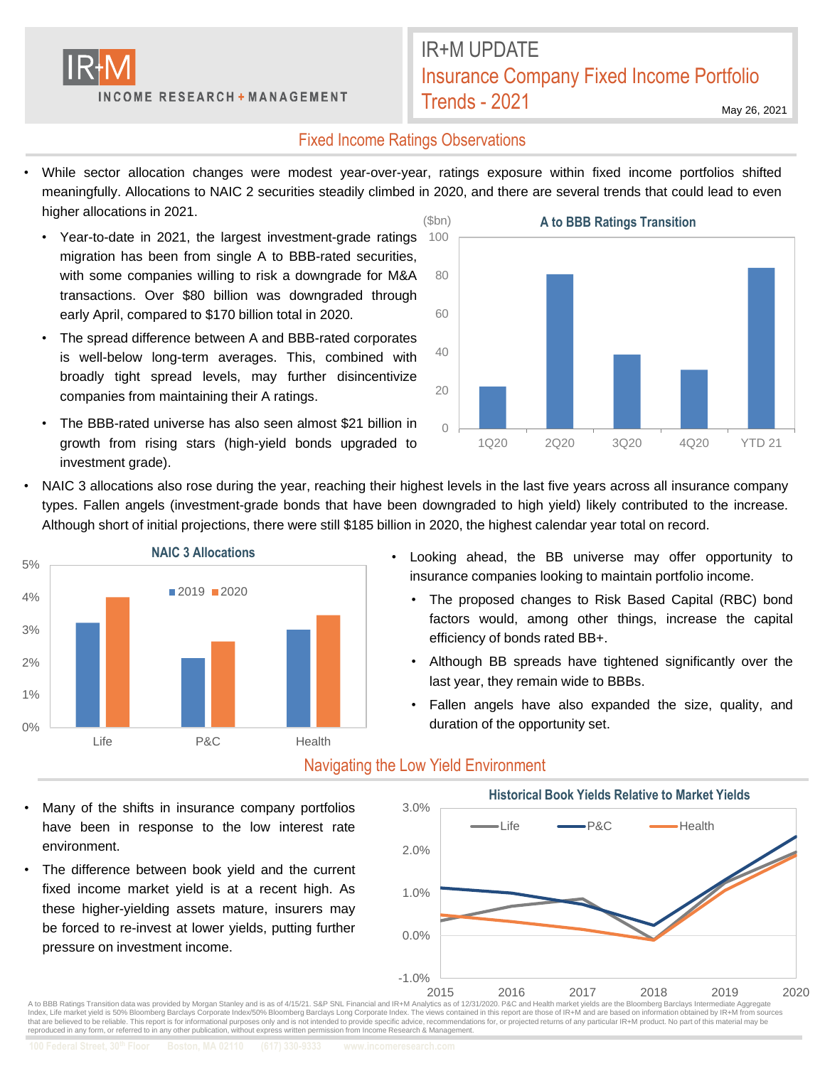

# IR+M UPDATE Insurance Company Fixed Income Portfolio Trends - 2021

May 26, 2021

### Fixed Income Ratings Observations

- While sector allocation changes were modest year-over-year, ratings exposure within fixed income portfolios shifted meaningfully. Allocations to NAIC 2 securities steadily climbed in 2020, and there are several trends that could lead to even higher allocations in 2021.
	- Year-to-date in 2021, the largest investment-grade ratings migration has been from single A to BBB-rated securities, with some companies willing to risk a downgrade for M&A transactions. Over \$80 billion was downgraded through early April, compared to \$170 billion total in 2020.
	- The spread difference between A and BBB-rated corporates is well-below long-term averages. This, combined with broadly tight spread levels, may further disincentivize companies from maintaining their A ratings.
	- The BBB-rated universe has also seen almost \$21 billion in growth from rising stars (high-yield bonds upgraded to investment grade).



• NAIC 3 allocations also rose during the year, reaching their highest levels in the last five years across all insurance company types. Fallen angels (investment-grade bonds that have been downgraded to high yield) likely contributed to the increase. Although short of initial projections, there were still \$185 billion in 2020, the highest calendar year total on record.



Many of the shifts in insurance company portfolios have been in response to the low interest rate

The difference between book yield and the current fixed income market yield is at a recent high. As these higher-yielding assets mature, insurers may be forced to re-invest at lower yields, putting further

environment.

pressure on investment income.

- Looking ahead, the BB universe may offer opportunity to insurance companies looking to maintain portfolio income.
	- The proposed changes to Risk Based Capital (RBC) bond factors would, among other things, increase the capital efficiency of bonds rated BB+.
	- Although BB spreads have tightened significantly over the last year, they remain wide to BBBs.
	- Fallen angels have also expanded the size, quality, and duration of the opportunity set.



### Navigating the Low Yield Environment

 $2015$   $2016$   $2017$   $2018$   $2019$   $2019$   $2019$   $2020$   $2020$ Index, Life market yield is 50% Bloomberg Barclays Corporate Index/50% Bloomberg Barclays Long Corporate Index. The views contained in this report are those of IR+M and are based on information obtained by IR+M from sources that are believed to be reliable. This report is for informational purposes only and is not intended to provide specific advice, recommendations for, or projected returns of any particular IR+M product. No part of this mat